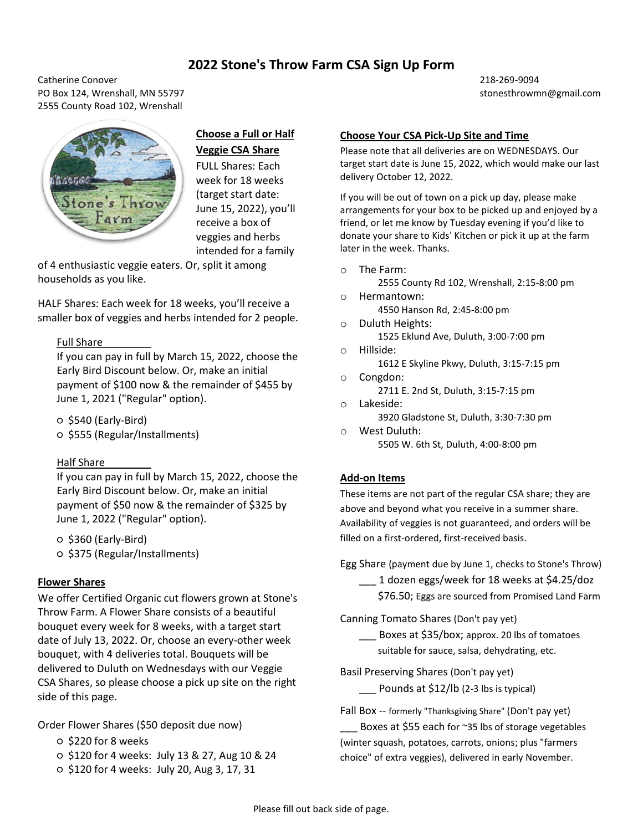# **2022 Stone's Throw Farm CSA Sign Up Form**

Catherine Conover 218-269-9094 PO Box 124, Wrenshall, MN 55797 stonesthrowmn@gmail.com 2555 County Road 102, Wrenshall



## **Choose a Full or Half**

**Veggie CSA Share**  FULL Shares: Each week for 18 weeks (target start date: June 15, 2022), you'll receive a box of veggies and herbs intended for a family

of 4 enthusiastic veggie eaters. Or, split it among households as you like.

HALF Shares: Each week for 18 weeks, you'll receive a smaller box of veggies and herbs intended for 2 people.

#### Full Share

If you can pay in full by March 15, 2022, choose the Early Bird Discount below. Or, make an initial payment of \$100 now & the remainder of \$455 by June 1, 2021 ("Regular" option).

○ \$540 (Early-Bird)

○ \$555 (Regular/Installments)

## Half Share

If you can pay in full by March 15, 2022, choose the Early Bird Discount below. Or, make an initial payment of \$50 now & the remainder of \$325 by June 1, 2022 ("Regular" option).

○ \$360 (Early-Bird)

○ \$375 (Regular/Installments)

## **Flower Shares**

We offer Certified Organic cut flowers grown at Stone's Throw Farm. A Flower Share consists of a beautiful bouquet every week for 8 weeks, with a target start date of July 13, 2022. Or, choose an every-other week bouquet, with 4 deliveries total. Bouquets will be delivered to Duluth on Wednesdays with our Veggie CSA Shares, so please choose a pick up site on the right side of this page.

Order Flower Shares (\$50 deposit due now)

- \$220 for 8 weeks
- \$120 for 4 weeks: July 13 & 27, Aug 10 & 24
- \$120 for 4 weeks: July 20, Aug 3, 17, 31

#### **Choose Your CSA Pick-Up Site and Time**

Please note that all deliveries are on WEDNESDAYS. Our target start date is June 15, 2022, which would make our last delivery October 12, 2022.

If you will be out of town on a pick up day, please make arrangements for your box to be picked up and enjoyed by a friend, or let me know by Tuesday evening if you'd like to donate your share to Kids' Kitchen or pick it up at the farm later in the week. Thanks.

- o The Farm:
	- 2555 County Rd 102, Wrenshall, 2:15-8:00 pm
- o Hermantown: 4550 Hanson Rd, 2:45-8:00 pm
- o Duluth Heights: 1525 Eklund Ave, Duluth, 3:00-7:00 pm
- o Hillside:
	- 1612 E Skyline Pkwy, Duluth, 3:15-7:15 pm
- o Congdon:
	- 2711 E. 2nd St, Duluth, 3:15-7:15 pm
- o Lakeside: 3920 Gladstone St, Duluth, 3:30-7:30 pm
- o West Duluth: 5505 W. 6th St, Duluth, 4:00-8:00 pm

## **Add-on Items**

These items are not part of the regular CSA share; they are above and beyond what you receive in a summer share. Availability of veggies is not guaranteed, and orders will be filled on a first-ordered, first-received basis.

Egg Share (payment due by June 1, checks to Stone's Throw)

1 dozen eggs/week for 18 weeks at \$4.25/doz \$76.50; Eggs are sourced from Promised Land Farm

Canning Tomato Shares (Don't pay yet)

Boxes at \$35/box; approx. 20 lbs of tomatoes suitable for sauce, salsa, dehydrating, etc.

Basil Preserving Shares (Don't pay yet) Pounds at \$12/lb (2-3 lbs is typical)

Fall Box -- formerly "Thanksgiving Share" (Don't pay yet) Boxes at \$55 each for ~35 lbs of storage vegetables (winter squash, potatoes, carrots, onions; plus "farmers choice" of extra veggies), delivered in early November.